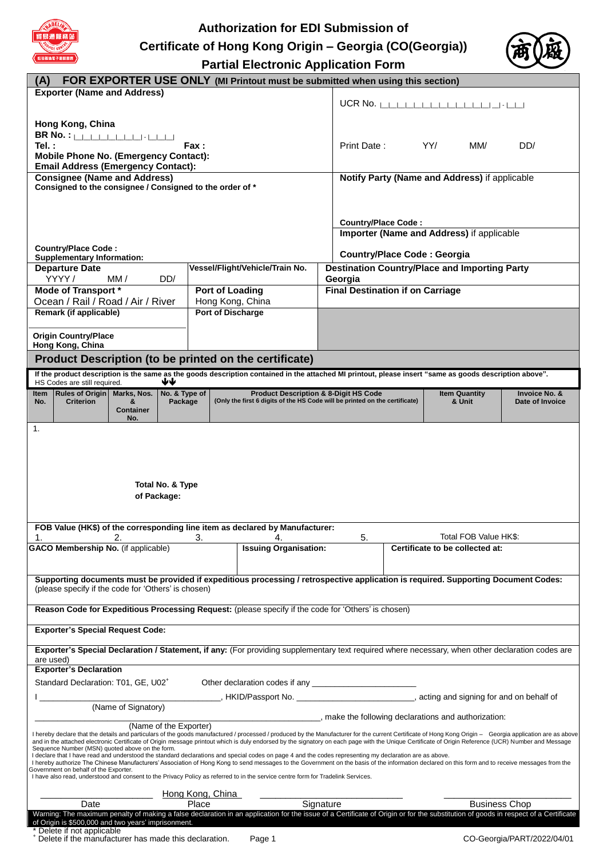

# **Authorization for EDI Submission of Certificate of Hong Kong Origin – Georgia (CO(Georgia)) Partial Electronic Application Form**



| (A)<br><b>FOR EXPORTER USE ONLY (MI Printout must be submitted when using this section)</b>                                                                                                                                                                                                                                                                 |                                                                                 |                       |                  |                   |                                                                                                                                                                                    |                                         |                                                      |     |                                               |                            |
|-------------------------------------------------------------------------------------------------------------------------------------------------------------------------------------------------------------------------------------------------------------------------------------------------------------------------------------------------------------|---------------------------------------------------------------------------------|-----------------------|------------------|-------------------|------------------------------------------------------------------------------------------------------------------------------------------------------------------------------------|-----------------------------------------|------------------------------------------------------|-----|-----------------------------------------------|----------------------------|
|                                                                                                                                                                                                                                                                                                                                                             | <b>Exporter (Name and Address)</b>                                              |                       |                  |                   |                                                                                                                                                                                    |                                         |                                                      |     |                                               |                            |
|                                                                                                                                                                                                                                                                                                                                                             |                                                                                 |                       |                  |                   |                                                                                                                                                                                    |                                         |                                                      |     | UCR No. $\Box$                                |                            |
|                                                                                                                                                                                                                                                                                                                                                             | Hong Kong, China                                                                |                       |                  |                   |                                                                                                                                                                                    |                                         |                                                      |     |                                               |                            |
|                                                                                                                                                                                                                                                                                                                                                             | <b>BR No. : [                                </b>                               |                       |                  |                   |                                                                                                                                                                                    |                                         |                                                      |     |                                               |                            |
| Tel.:                                                                                                                                                                                                                                                                                                                                                       | <b>Mobile Phone No. (Emergency Contact):</b>                                    |                       | Fax :            |                   |                                                                                                                                                                                    | Print Date:                             |                                                      | YY/ | MM/                                           | DD/                        |
|                                                                                                                                                                                                                                                                                                                                                             | <b>Email Address (Emergency Contact):</b>                                       |                       |                  |                   |                                                                                                                                                                                    |                                         |                                                      |     |                                               |                            |
|                                                                                                                                                                                                                                                                                                                                                             | <b>Consignee (Name and Address)</b>                                             |                       |                  |                   |                                                                                                                                                                                    |                                         |                                                      |     | Notify Party (Name and Address) if applicable |                            |
|                                                                                                                                                                                                                                                                                                                                                             | Consigned to the consignee / Consigned to the order of *                        |                       |                  |                   |                                                                                                                                                                                    |                                         |                                                      |     |                                               |                            |
|                                                                                                                                                                                                                                                                                                                                                             |                                                                                 |                       |                  |                   |                                                                                                                                                                                    |                                         |                                                      |     |                                               |                            |
|                                                                                                                                                                                                                                                                                                                                                             |                                                                                 |                       |                  |                   |                                                                                                                                                                                    | <b>Country/Place Code:</b>              |                                                      |     |                                               |                            |
|                                                                                                                                                                                                                                                                                                                                                             |                                                                                 |                       |                  |                   |                                                                                                                                                                                    |                                         | Importer (Name and Address) if applicable            |     |                                               |                            |
|                                                                                                                                                                                                                                                                                                                                                             | <b>Country/Place Code:</b>                                                      |                       |                  |                   |                                                                                                                                                                                    |                                         | <b>Country/Place Code: Georgia</b>                   |     |                                               |                            |
|                                                                                                                                                                                                                                                                                                                                                             | <b>Supplementary Information:</b><br><b>Departure Date</b>                      |                       |                  |                   | Vessel/Flight/Vehicle/Train No.                                                                                                                                                    |                                         | <b>Destination Country/Place and Importing Party</b> |     |                                               |                            |
|                                                                                                                                                                                                                                                                                                                                                             | YYYY /                                                                          | MM /                  | DD/              |                   |                                                                                                                                                                                    | Georgia                                 |                                                      |     |                                               |                            |
|                                                                                                                                                                                                                                                                                                                                                             | Mode of Transport *                                                             |                       |                  | Port of Loading   |                                                                                                                                                                                    | <b>Final Destination if on Carriage</b> |                                                      |     |                                               |                            |
|                                                                                                                                                                                                                                                                                                                                                             | Ocean / Rail / Road / Air / River                                               |                       |                  |                   | Hong Kong, China                                                                                                                                                                   |                                         |                                                      |     |                                               |                            |
|                                                                                                                                                                                                                                                                                                                                                             | Remark (if applicable)                                                          |                       |                  | Port of Discharge |                                                                                                                                                                                    |                                         |                                                      |     |                                               |                            |
|                                                                                                                                                                                                                                                                                                                                                             | <b>Origin Country/Place</b>                                                     |                       |                  |                   |                                                                                                                                                                                    |                                         |                                                      |     |                                               |                            |
|                                                                                                                                                                                                                                                                                                                                                             | Hong Kong, China                                                                |                       |                  |                   |                                                                                                                                                                                    |                                         |                                                      |     |                                               |                            |
|                                                                                                                                                                                                                                                                                                                                                             |                                                                                 |                       |                  |                   | Product Description (to be printed on the certificate)                                                                                                                             |                                         |                                                      |     |                                               |                            |
|                                                                                                                                                                                                                                                                                                                                                             | HS Codes are still required.                                                    |                       | ₩                |                   | If the product description is the same as the goods description contained in the attached MI printout, please insert "same as goods description above".                            |                                         |                                                      |     |                                               |                            |
| <b>Item</b>                                                                                                                                                                                                                                                                                                                                                 | <b>Rules of Origin</b>                                                          | Marks, Nos.           | No. & Type of    |                   | <b>Product Description &amp; 8-Digit HS Code</b>                                                                                                                                   |                                         |                                                      |     | <b>Item Quantity</b>                          | Invoice No. &              |
| No.                                                                                                                                                                                                                                                                                                                                                         | <b>Criterion</b>                                                                | 8<br><b>Container</b> | Package          |                   | (Only the first 6 digits of the HS Code will be printed on the certificate)                                                                                                        |                                         |                                                      |     | & Unit                                        | Date of Invoice            |
|                                                                                                                                                                                                                                                                                                                                                             |                                                                                 | No.                   |                  |                   |                                                                                                                                                                                    |                                         |                                                      |     |                                               |                            |
| 1.                                                                                                                                                                                                                                                                                                                                                          |                                                                                 |                       |                  |                   |                                                                                                                                                                                    |                                         |                                                      |     |                                               |                            |
|                                                                                                                                                                                                                                                                                                                                                             |                                                                                 |                       |                  |                   |                                                                                                                                                                                    |                                         |                                                      |     |                                               |                            |
|                                                                                                                                                                                                                                                                                                                                                             |                                                                                 |                       |                  |                   |                                                                                                                                                                                    |                                         |                                                      |     |                                               |                            |
|                                                                                                                                                                                                                                                                                                                                                             |                                                                                 |                       |                  |                   |                                                                                                                                                                                    |                                         |                                                      |     |                                               |                            |
|                                                                                                                                                                                                                                                                                                                                                             |                                                                                 |                       | Total No. & Type |                   |                                                                                                                                                                                    |                                         |                                                      |     |                                               |                            |
|                                                                                                                                                                                                                                                                                                                                                             | of Package:                                                                     |                       |                  |                   |                                                                                                                                                                                    |                                         |                                                      |     |                                               |                            |
|                                                                                                                                                                                                                                                                                                                                                             |                                                                                 |                       |                  |                   |                                                                                                                                                                                    |                                         |                                                      |     |                                               |                            |
| FOB Value (HK\$) of the corresponding line item as declared by Manufacturer:<br>Total FOB Value HK\$:                                                                                                                                                                                                                                                       |                                                                                 |                       |                  |                   |                                                                                                                                                                                    |                                         |                                                      |     |                                               |                            |
| 2.<br>3.<br>5.<br>1.<br>4.<br>GACO Membership No. (if applicable)<br><b>Issuing Organisation:</b><br>Certificate to be collected at:                                                                                                                                                                                                                        |                                                                                 |                       |                  |                   |                                                                                                                                                                                    |                                         |                                                      |     |                                               |                            |
|                                                                                                                                                                                                                                                                                                                                                             |                                                                                 |                       |                  |                   |                                                                                                                                                                                    |                                         |                                                      |     |                                               |                            |
|                                                                                                                                                                                                                                                                                                                                                             |                                                                                 |                       |                  |                   |                                                                                                                                                                                    |                                         |                                                      |     |                                               |                            |
| Supporting documents must be provided if expeditious processing / retrospective application is required. Supporting Document Codes:<br>(please specify if the code for 'Others' is chosen)                                                                                                                                                                  |                                                                                 |                       |                  |                   |                                                                                                                                                                                    |                                         |                                                      |     |                                               |                            |
|                                                                                                                                                                                                                                                                                                                                                             |                                                                                 |                       |                  |                   |                                                                                                                                                                                    |                                         |                                                      |     |                                               |                            |
| Reason Code for Expeditious Processing Request: (please specify if the code for 'Others' is chosen)                                                                                                                                                                                                                                                         |                                                                                 |                       |                  |                   |                                                                                                                                                                                    |                                         |                                                      |     |                                               |                            |
| <b>Exporter's Special Request Code:</b>                                                                                                                                                                                                                                                                                                                     |                                                                                 |                       |                  |                   |                                                                                                                                                                                    |                                         |                                                      |     |                                               |                            |
| Exporter's Special Declaration / Statement, if any: (For providing supplementary text required where necessary, when other declaration codes are                                                                                                                                                                                                            |                                                                                 |                       |                  |                   |                                                                                                                                                                                    |                                         |                                                      |     |                                               |                            |
|                                                                                                                                                                                                                                                                                                                                                             | are used)                                                                       |                       |                  |                   |                                                                                                                                                                                    |                                         |                                                      |     |                                               |                            |
|                                                                                                                                                                                                                                                                                                                                                             | <b>Exporter's Declaration</b>                                                   |                       |                  |                   |                                                                                                                                                                                    |                                         |                                                      |     |                                               |                            |
| Standard Declaration: T01, GE, U02 <sup>+</sup><br>Other declaration codes if any                                                                                                                                                                                                                                                                           |                                                                                 |                       |                  |                   |                                                                                                                                                                                    |                                         |                                                      |     |                                               |                            |
| HKID/Passport No. ________________________________, acting and signing for and on behalf of<br>(Name of Signatory)                                                                                                                                                                                                                                          |                                                                                 |                       |                  |                   |                                                                                                                                                                                    |                                         |                                                      |     |                                               |                            |
| __, make the following declarations and authorization:                                                                                                                                                                                                                                                                                                      |                                                                                 |                       |                  |                   |                                                                                                                                                                                    |                                         |                                                      |     |                                               |                            |
| (Name of the Exporter)<br>I hereby declare that the details and particulars of the goods manufactured / processed / produced by the Manufacturer for the current Certificate of Hong Kong Origin - Georgia application are as above                                                                                                                         |                                                                                 |                       |                  |                   |                                                                                                                                                                                    |                                         |                                                      |     |                                               |                            |
| and in the attached electronic Certificate of Origin message printout which is duly endorsed by the signatory on each page with the Unique Certificate of Origin Reference (UCR) Number and Message<br>Sequence Number (MSN) quoted above on the form.                                                                                                      |                                                                                 |                       |                  |                   |                                                                                                                                                                                    |                                         |                                                      |     |                                               |                            |
| I declare that I have read and understood the standard declarations and special codes on page 4 and the codes representing my declaration are as above.<br>I hereby authorize The Chinese Manufacturers' Association of Hong Kong to send messages to the Government on the basis of the information declared on this form and to receive messages from the |                                                                                 |                       |                  |                   |                                                                                                                                                                                    |                                         |                                                      |     |                                               |                            |
| Government on behalf of the Exporter.<br>I have also read, understood and consent to the Privacy Policy as referred to in the service centre form for Tradelink Services.                                                                                                                                                                                   |                                                                                 |                       |                  |                   |                                                                                                                                                                                    |                                         |                                                      |     |                                               |                            |
|                                                                                                                                                                                                                                                                                                                                                             |                                                                                 |                       |                  |                   |                                                                                                                                                                                    |                                         |                                                      |     |                                               |                            |
|                                                                                                                                                                                                                                                                                                                                                             | Date                                                                            |                       | Hong Kong, China | Place             |                                                                                                                                                                                    | Signature                               |                                                      |     | <b>Business Chop</b>                          |                            |
|                                                                                                                                                                                                                                                                                                                                                             |                                                                                 |                       |                  |                   | Warning: The maximum penalty of making a false declaration in an application for the issue of a Certificate of Origin or for the substitution of goods in respect of a Certificate |                                         |                                                      |     |                                               |                            |
|                                                                                                                                                                                                                                                                                                                                                             | of Origin is \$500,000 and two years' imprisonment.<br>Delete if not applicable |                       |                  |                   |                                                                                                                                                                                    |                                         |                                                      |     |                                               |                            |
|                                                                                                                                                                                                                                                                                                                                                             | Delete if the manufacturer has made this declaration.                           |                       |                  |                   | Page 1                                                                                                                                                                             |                                         |                                                      |     |                                               | CO-Georgia/PART/2022/04/01 |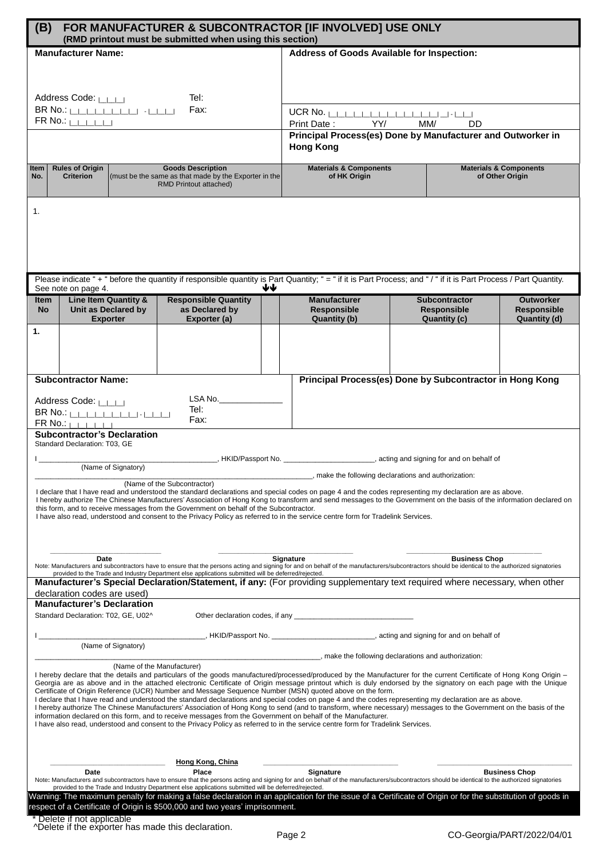| (B)<br><b>FOR MANUFACTURER &amp; SUBCONTRACTOR [IF INVOLVED] USE ONLY</b><br>(RMD printout must be submitted when using this section)                                                                                                                                                                                        |                                                                             |                                                                                                                                                                                                                                                                                                                                |                                                                                                    |                                                                                       |                                                      |  |
|------------------------------------------------------------------------------------------------------------------------------------------------------------------------------------------------------------------------------------------------------------------------------------------------------------------------------|-----------------------------------------------------------------------------|--------------------------------------------------------------------------------------------------------------------------------------------------------------------------------------------------------------------------------------------------------------------------------------------------------------------------------|----------------------------------------------------------------------------------------------------|---------------------------------------------------------------------------------------|------------------------------------------------------|--|
|                                                                                                                                                                                                                                                                                                                              | <b>Manufacturer Name:</b>                                                   |                                                                                                                                                                                                                                                                                                                                | Address of Goods Available for Inspection:                                                         |                                                                                       |                                                      |  |
|                                                                                                                                                                                                                                                                                                                              |                                                                             |                                                                                                                                                                                                                                                                                                                                |                                                                                                    |                                                                                       |                                                      |  |
|                                                                                                                                                                                                                                                                                                                              |                                                                             |                                                                                                                                                                                                                                                                                                                                |                                                                                                    |                                                                                       |                                                      |  |
|                                                                                                                                                                                                                                                                                                                              | Address Code: LILLI                                                         | Tel:                                                                                                                                                                                                                                                                                                                           |                                                                                                    |                                                                                       |                                                      |  |
|                                                                                                                                                                                                                                                                                                                              | BR No.: <b> _ _ _ _ _ _ _ _ </b> _  -  _ _ _ <br>$FR$ No.: $\left  \right $ | Fax:                                                                                                                                                                                                                                                                                                                           | UCR No. $\Box$                                                                                     |                                                                                       |                                                      |  |
|                                                                                                                                                                                                                                                                                                                              |                                                                             |                                                                                                                                                                                                                                                                                                                                | Print Date: YY/<br>MM/<br><b>DD</b><br>Principal Process(es) Done by Manufacturer and Outworker in |                                                                                       |                                                      |  |
|                                                                                                                                                                                                                                                                                                                              |                                                                             |                                                                                                                                                                                                                                                                                                                                | <b>Hong Kong</b>                                                                                   |                                                                                       |                                                      |  |
| <b>Item</b><br>No.                                                                                                                                                                                                                                                                                                           | <b>Rules of Origin</b><br><b>Criterion</b>                                  | <b>Goods Description</b><br>(must be the same as that made by the Exporter in the                                                                                                                                                                                                                                              | <b>Materials &amp; Components</b><br>of HK Origin                                                  |                                                                                       | <b>Materials &amp; Components</b><br>of Other Origin |  |
|                                                                                                                                                                                                                                                                                                                              |                                                                             | RMD Printout attached)                                                                                                                                                                                                                                                                                                         |                                                                                                    |                                                                                       |                                                      |  |
|                                                                                                                                                                                                                                                                                                                              |                                                                             |                                                                                                                                                                                                                                                                                                                                |                                                                                                    |                                                                                       |                                                      |  |
| 1.                                                                                                                                                                                                                                                                                                                           |                                                                             |                                                                                                                                                                                                                                                                                                                                |                                                                                                    |                                                                                       |                                                      |  |
|                                                                                                                                                                                                                                                                                                                              |                                                                             |                                                                                                                                                                                                                                                                                                                                |                                                                                                    |                                                                                       |                                                      |  |
|                                                                                                                                                                                                                                                                                                                              |                                                                             |                                                                                                                                                                                                                                                                                                                                |                                                                                                    |                                                                                       |                                                      |  |
|                                                                                                                                                                                                                                                                                                                              |                                                                             |                                                                                                                                                                                                                                                                                                                                |                                                                                                    |                                                                                       |                                                      |  |
|                                                                                                                                                                                                                                                                                                                              | See note on page 4.                                                         | Please indicate "+" before the quantity if responsible quantity is Part Quantity; "= " if it is Part Process; and "/" if it is Part Process / Part Quantity.<br>₩₩                                                                                                                                                             |                                                                                                    |                                                                                       |                                                      |  |
| <b>Item</b>                                                                                                                                                                                                                                                                                                                  | Line Item Quantity &                                                        | <b>Responsible Quantity</b>                                                                                                                                                                                                                                                                                                    | <b>Manufacturer</b>                                                                                | <b>Subcontractor</b>                                                                  | <b>Outworker</b>                                     |  |
| <b>No</b>                                                                                                                                                                                                                                                                                                                    | Unit as Declared by<br><b>Exporter</b>                                      | as Declared by<br>Exporter (a)                                                                                                                                                                                                                                                                                                 | <b>Responsible</b><br>Quantity (b)                                                                 | <b>Responsible</b><br>Quantity (c)                                                    | <b>Responsible</b><br>Quantity (d)                   |  |
| 1.                                                                                                                                                                                                                                                                                                                           |                                                                             |                                                                                                                                                                                                                                                                                                                                |                                                                                                    |                                                                                       |                                                      |  |
|                                                                                                                                                                                                                                                                                                                              |                                                                             |                                                                                                                                                                                                                                                                                                                                |                                                                                                    |                                                                                       |                                                      |  |
|                                                                                                                                                                                                                                                                                                                              |                                                                             |                                                                                                                                                                                                                                                                                                                                |                                                                                                    |                                                                                       |                                                      |  |
|                                                                                                                                                                                                                                                                                                                              | <b>Subcontractor Name:</b>                                                  |                                                                                                                                                                                                                                                                                                                                | Principal Process(es) Done by Subcontractor in Hong Kong                                           |                                                                                       |                                                      |  |
|                                                                                                                                                                                                                                                                                                                              | Address Code: LILLI                                                         | LSA No.                                                                                                                                                                                                                                                                                                                        |                                                                                                    |                                                                                       |                                                      |  |
|                                                                                                                                                                                                                                                                                                                              | $BR \ No.: \$                                                               | Tel:<br>Fax:                                                                                                                                                                                                                                                                                                                   |                                                                                                    |                                                                                       |                                                      |  |
|                                                                                                                                                                                                                                                                                                                              | $FR$ No.: $\frac{1}{1}$<br><b>Subcontractor's Declaration</b>               |                                                                                                                                                                                                                                                                                                                                |                                                                                                    |                                                                                       |                                                      |  |
|                                                                                                                                                                                                                                                                                                                              | Standard Declaration: T03, GE                                               |                                                                                                                                                                                                                                                                                                                                |                                                                                                    |                                                                                       |                                                      |  |
|                                                                                                                                                                                                                                                                                                                              | (Name of Signatory)                                                         |                                                                                                                                                                                                                                                                                                                                |                                                                                                    | HKID/Passport No. __________________________, acting and signing for and on behalf of |                                                      |  |
|                                                                                                                                                                                                                                                                                                                              |                                                                             | (Name of the Subcontractor)                                                                                                                                                                                                                                                                                                    |                                                                                                    | , make the following declarations and authorization:                                  |                                                      |  |
|                                                                                                                                                                                                                                                                                                                              |                                                                             | I declare that I have read and understood the standard declarations and special codes on page 4 and the codes representing my declaration are as above.<br>I hereby authorize The Chinese Manufacturers' Association of Hong Kong to transform and send messages to the Government on the basis of the information declared on |                                                                                                    |                                                                                       |                                                      |  |
|                                                                                                                                                                                                                                                                                                                              |                                                                             | this form, and to receive messages from the Government on behalf of the Subcontractor.<br>I have also read, understood and consent to the Privacy Policy as referred to in the service centre form for Tradelink Services.                                                                                                     |                                                                                                    |                                                                                       |                                                      |  |
|                                                                                                                                                                                                                                                                                                                              |                                                                             |                                                                                                                                                                                                                                                                                                                                |                                                                                                    |                                                                                       |                                                      |  |
|                                                                                                                                                                                                                                                                                                                              |                                                                             |                                                                                                                                                                                                                                                                                                                                |                                                                                                    |                                                                                       |                                                      |  |
|                                                                                                                                                                                                                                                                                                                              | Date                                                                        | Note: Manufacturers and subcontractors have to ensure that the persons acting and signing for and on behalf of the manufacturers/subcontractors should be identical to the authorized signatories                                                                                                                              | Signature                                                                                          | <b>Business Chop</b>                                                                  |                                                      |  |
|                                                                                                                                                                                                                                                                                                                              |                                                                             | provided to the Trade and Industry Department else applications submitted will be deferred/rejected.                                                                                                                                                                                                                           |                                                                                                    |                                                                                       |                                                      |  |
| Manufacturer's Special Declaration/Statement, if any: (For providing supplementary text required where necessary, when other<br>declaration codes are used)                                                                                                                                                                  |                                                                             |                                                                                                                                                                                                                                                                                                                                |                                                                                                    |                                                                                       |                                                      |  |
| <b>Manufacturer's Declaration</b>                                                                                                                                                                                                                                                                                            |                                                                             |                                                                                                                                                                                                                                                                                                                                |                                                                                                    |                                                                                       |                                                      |  |
|                                                                                                                                                                                                                                                                                                                              | Standard Declaration: T02, GE, U02^                                         |                                                                                                                                                                                                                                                                                                                                |                                                                                                    |                                                                                       |                                                      |  |
|                                                                                                                                                                                                                                                                                                                              | (Name of Signatory)                                                         |                                                                                                                                                                                                                                                                                                                                |                                                                                                    |                                                                                       |                                                      |  |
|                                                                                                                                                                                                                                                                                                                              |                                                                             |                                                                                                                                                                                                                                                                                                                                |                                                                                                    | , make the following declarations and authorization:                                  |                                                      |  |
| (Name of the Manufacturer)<br>I hereby declare that the details and particulars of the goods manufactured/processed/produced by the Manufacturer for the current Certificate of Hong Kong Origin -                                                                                                                           |                                                                             |                                                                                                                                                                                                                                                                                                                                |                                                                                                    |                                                                                       |                                                      |  |
| Georgia are as above and in the attached electronic Certificate of Origin message printout which is duly endorsed by the signatory on each page with the Unique<br>Certificate of Origin Reference (UCR) Number and Message Sequence Number (MSN) quoted above on the form.                                                  |                                                                             |                                                                                                                                                                                                                                                                                                                                |                                                                                                    |                                                                                       |                                                      |  |
| I declare that I have read and understood the standard declarations and special codes on page 4 and the codes representing my declaration are as above.<br>I hereby authorize The Chinese Manufacturers' Association of Hong Kong to send (and to transform, where necessary) messages to the Government on the basis of the |                                                                             |                                                                                                                                                                                                                                                                                                                                |                                                                                                    |                                                                                       |                                                      |  |
| information declared on this form, and to receive messages from the Government on behalf of the Manufacturer.<br>I have also read, understood and consent to the Privacy Policy as referred to in the service centre form for Tradelink Services.                                                                            |                                                                             |                                                                                                                                                                                                                                                                                                                                |                                                                                                    |                                                                                       |                                                      |  |
|                                                                                                                                                                                                                                                                                                                              |                                                                             |                                                                                                                                                                                                                                                                                                                                |                                                                                                    |                                                                                       |                                                      |  |
|                                                                                                                                                                                                                                                                                                                              |                                                                             |                                                                                                                                                                                                                                                                                                                                |                                                                                                    |                                                                                       |                                                      |  |
|                                                                                                                                                                                                                                                                                                                              | Date                                                                        | <b>Hong Kong, China</b><br>Place                                                                                                                                                                                                                                                                                               | Signature                                                                                          |                                                                                       | <b>Business Chop</b>                                 |  |
|                                                                                                                                                                                                                                                                                                                              |                                                                             | Note: Manufacturers and subcontractors have to ensure that the persons acting and signing for and on behalf of the manufacturers/subcontractors should be identical to the authorized signatories<br>provided to the Trade and Industry Department else applications submitted will be deferred/rejected.                      |                                                                                                    |                                                                                       |                                                      |  |
| Warning: The maximum penalty for making a false declaration in an application for the issue of a Certificate of Origin or for the substitution of goods in<br>respect of a Certificate of Origin is \$500,000 and two years' imprisonment.                                                                                   |                                                                             |                                                                                                                                                                                                                                                                                                                                |                                                                                                    |                                                                                       |                                                      |  |
|                                                                                                                                                                                                                                                                                                                              | Delete if not applicable                                                    |                                                                                                                                                                                                                                                                                                                                |                                                                                                    |                                                                                       |                                                      |  |
|                                                                                                                                                                                                                                                                                                                              | A Delete if the exporter has made this declaration.                         |                                                                                                                                                                                                                                                                                                                                |                                                                                                    |                                                                                       |                                                      |  |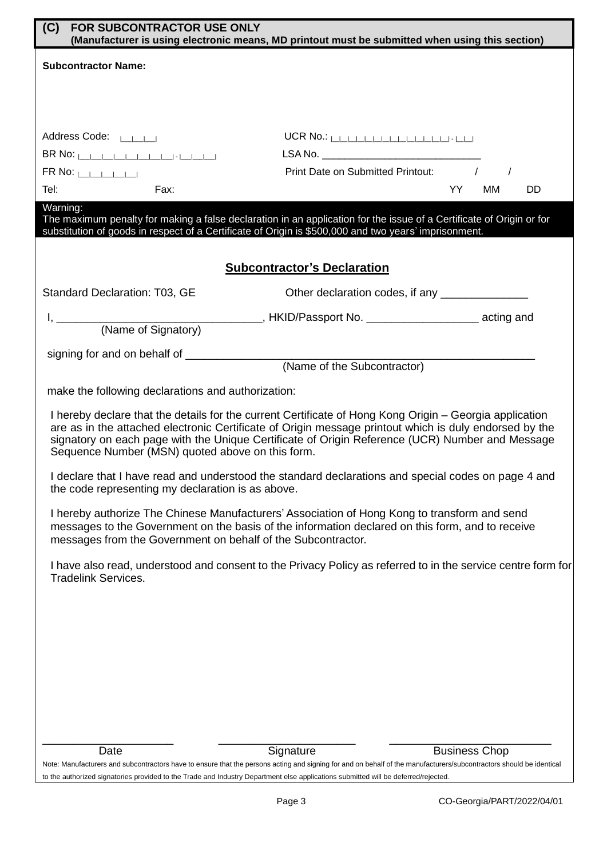| (C)<br><b>FOR SUBCONTRACTOR USE ONLY</b><br>(Manufacturer is using electronic means, MD printout must be submitted when using this section)                                                                                                                                                                                                                              |                                                 |                      |  |  |  |  |
|--------------------------------------------------------------------------------------------------------------------------------------------------------------------------------------------------------------------------------------------------------------------------------------------------------------------------------------------------------------------------|-------------------------------------------------|----------------------|--|--|--|--|
| <b>Subcontractor Name:</b>                                                                                                                                                                                                                                                                                                                                               |                                                 |                      |  |  |  |  |
|                                                                                                                                                                                                                                                                                                                                                                          |                                                 |                      |  |  |  |  |
|                                                                                                                                                                                                                                                                                                                                                                          |                                                 |                      |  |  |  |  |
| Address Code: LANSING                                                                                                                                                                                                                                                                                                                                                    | $UCR$ No.: $\Box$                               |                      |  |  |  |  |
| $BR No:$ $\Box$                                                                                                                                                                                                                                                                                                                                                          |                                                 |                      |  |  |  |  |
| $FR$ No: $\Box$                                                                                                                                                                                                                                                                                                                                                          | Print Date on Submitted Printout: /             | YY.                  |  |  |  |  |
| Tel:<br>Fax:<br>Warning:                                                                                                                                                                                                                                                                                                                                                 |                                                 | DD<br>MМ             |  |  |  |  |
| The maximum penalty for making a false declaration in an application for the issue of a Certificate of Origin or for<br>substitution of goods in respect of a Certificate of Origin is \$500,000 and two years' imprisonment.                                                                                                                                            |                                                 |                      |  |  |  |  |
|                                                                                                                                                                                                                                                                                                                                                                          | <b>Subcontractor's Declaration</b>              |                      |  |  |  |  |
| Standard Declaration: T03, GE                                                                                                                                                                                                                                                                                                                                            | Other declaration codes, if any _______________ |                      |  |  |  |  |
|                                                                                                                                                                                                                                                                                                                                                                          |                                                 |                      |  |  |  |  |
|                                                                                                                                                                                                                                                                                                                                                                          |                                                 |                      |  |  |  |  |
|                                                                                                                                                                                                                                                                                                                                                                          | (Name of the Subcontractor)                     |                      |  |  |  |  |
| make the following declarations and authorization:                                                                                                                                                                                                                                                                                                                       |                                                 |                      |  |  |  |  |
| I hereby declare that the details for the current Certificate of Hong Kong Origin - Georgia application<br>are as in the attached electronic Certificate of Origin message printout which is duly endorsed by the<br>signatory on each page with the Unique Certificate of Origin Reference (UCR) Number and Message<br>Sequence Number (MSN) quoted above on this form. |                                                 |                      |  |  |  |  |
| I declare that I have read and understood the standard declarations and special codes on page 4 and<br>the code representing my declaration is as above.                                                                                                                                                                                                                 |                                                 |                      |  |  |  |  |
| I hereby authorize The Chinese Manufacturers' Association of Hong Kong to transform and send<br>messages to the Government on the basis of the information declared on this form, and to receive<br>messages from the Government on behalf of the Subcontractor.                                                                                                         |                                                 |                      |  |  |  |  |
| I have also read, understood and consent to the Privacy Policy as referred to in the service centre form for<br><b>Tradelink Services.</b>                                                                                                                                                                                                                               |                                                 |                      |  |  |  |  |
|                                                                                                                                                                                                                                                                                                                                                                          |                                                 |                      |  |  |  |  |
|                                                                                                                                                                                                                                                                                                                                                                          |                                                 |                      |  |  |  |  |
|                                                                                                                                                                                                                                                                                                                                                                          |                                                 |                      |  |  |  |  |
|                                                                                                                                                                                                                                                                                                                                                                          |                                                 |                      |  |  |  |  |
|                                                                                                                                                                                                                                                                                                                                                                          |                                                 |                      |  |  |  |  |
|                                                                                                                                                                                                                                                                                                                                                                          |                                                 |                      |  |  |  |  |
|                                                                                                                                                                                                                                                                                                                                                                          |                                                 |                      |  |  |  |  |
| Date<br>Note: Manufacturers and subcontractors have to ensure that the persons acting and signing for and on behalf of the manufacturers/subcontractors should be identical                                                                                                                                                                                              | Signature                                       | <b>Business Chop</b> |  |  |  |  |
| to the authorized signatories provided to the Trade and Industry Department else applications submitted will be deferred/rejected.                                                                                                                                                                                                                                       |                                                 |                      |  |  |  |  |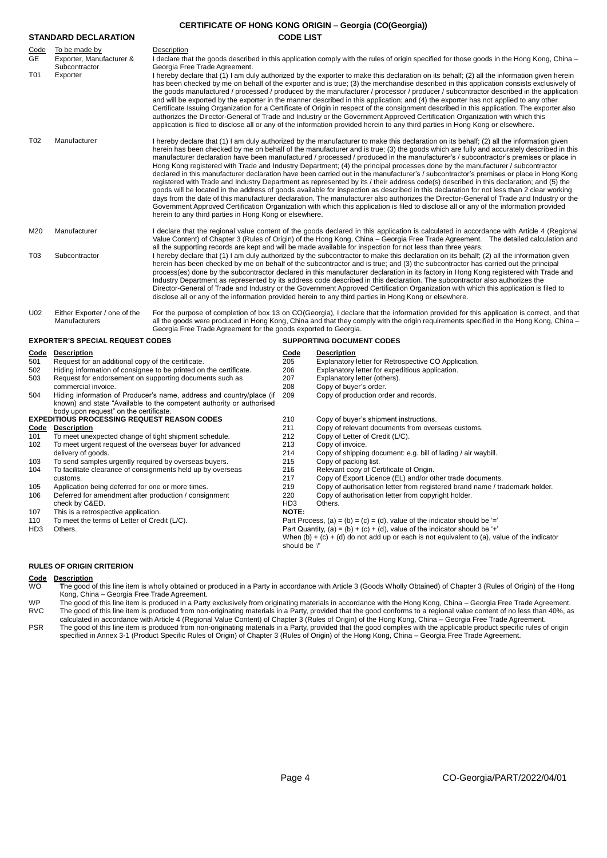| <b>CERTIFICATE OF HONG KONG ORIGIN - Georgia (CO(Georgia))</b>                                                           |                                                                                                                                                                                               |                                                                                                                                                                                                                                                                                                                                                                                                |                                                                                                                                                                                                                                                                                                                                                                                                                                                                                                                                                                                                                                                                                                                                                                                                                                                                                                                                                                                                                                                                                                                                                                                                                                                                                   |                                                                                                                                                                                                                                                                                                                                                                                                                                                                                                                                                                                                                                                                                                                                                                                                                                         |  |  |  |
|--------------------------------------------------------------------------------------------------------------------------|-----------------------------------------------------------------------------------------------------------------------------------------------------------------------------------------------|------------------------------------------------------------------------------------------------------------------------------------------------------------------------------------------------------------------------------------------------------------------------------------------------------------------------------------------------------------------------------------------------|-----------------------------------------------------------------------------------------------------------------------------------------------------------------------------------------------------------------------------------------------------------------------------------------------------------------------------------------------------------------------------------------------------------------------------------------------------------------------------------------------------------------------------------------------------------------------------------------------------------------------------------------------------------------------------------------------------------------------------------------------------------------------------------------------------------------------------------------------------------------------------------------------------------------------------------------------------------------------------------------------------------------------------------------------------------------------------------------------------------------------------------------------------------------------------------------------------------------------------------------------------------------------------------|-----------------------------------------------------------------------------------------------------------------------------------------------------------------------------------------------------------------------------------------------------------------------------------------------------------------------------------------------------------------------------------------------------------------------------------------------------------------------------------------------------------------------------------------------------------------------------------------------------------------------------------------------------------------------------------------------------------------------------------------------------------------------------------------------------------------------------------------|--|--|--|
|                                                                                                                          | <b>STANDARD DECLARATION</b>                                                                                                                                                                   |                                                                                                                                                                                                                                                                                                                                                                                                | <b>CODE LIST</b>                                                                                                                                                                                                                                                                                                                                                                                                                                                                                                                                                                                                                                                                                                                                                                                                                                                                                                                                                                                                                                                                                                                                                                                                                                                                  |                                                                                                                                                                                                                                                                                                                                                                                                                                                                                                                                                                                                                                                                                                                                                                                                                                         |  |  |  |
| <u>Code</u><br>GE<br>T01                                                                                                 | To be made by<br>Description<br>Exporter, Manufacturer &<br>Subcontractor<br>Georgia Free Trade Agreement.<br>Exporter                                                                        |                                                                                                                                                                                                                                                                                                                                                                                                | I declare that the goods described in this application comply with the rules of origin specified for those goods in the Hong Kong, China –<br>I hereby declare that (1) I am duly authorized by the exporter to make this declaration on its behalf; (2) all the information given herein                                                                                                                                                                                                                                                                                                                                                                                                                                                                                                                                                                                                                                                                                                                                                                                                                                                                                                                                                                                         |                                                                                                                                                                                                                                                                                                                                                                                                                                                                                                                                                                                                                                                                                                                                                                                                                                         |  |  |  |
|                                                                                                                          |                                                                                                                                                                                               |                                                                                                                                                                                                                                                                                                                                                                                                |                                                                                                                                                                                                                                                                                                                                                                                                                                                                                                                                                                                                                                                                                                                                                                                                                                                                                                                                                                                                                                                                                                                                                                                                                                                                                   | has been checked by me on behalf of the exporter and is true; (3) the merchandise described in this application consists exclusively of<br>the goods manufactured / processed / produced by the manufacturer / processor / producer / subcontractor described in the application<br>and will be exported by the exporter in the manner described in this application; and (4) the exporter has not applied to any other<br>Certificate Issuing Organization for a Certificate of Origin in respect of the consignment described in this application. The exporter also<br>authorizes the Director-General of Trade and Industry or the Government Approved Certification Organization with which this<br>application is filed to disclose all or any of the information provided herein to any third parties in Hong Kong or elsewhere. |  |  |  |
| T02                                                                                                                      | Manufacturer                                                                                                                                                                                  | herein to any third parties in Hong Kong or elsewhere.                                                                                                                                                                                                                                                                                                                                         | I hereby declare that (1) I am duly authorized by the manufacturer to make this declaration on its behalf; (2) all the information given<br>herein has been checked by me on behalf of the manufacturer and is true; (3) the goods which are fully and accurately described in this<br>manufacturer declaration have been manufactured / processed / produced in the manufacturer's / subcontractor's premises or place in<br>Hong Kong registered with Trade and Industry Department; (4) the principal processes done by the manufacturer / subcontractor<br>declared in this manufacturer declaration have been carried out in the manufacturer's / subcontractor's premises or place in Hong Kong<br>registered with Trade and Industry Department as represented by its / their address code(s) described in this declaration; and (5) the<br>goods will be located in the address of goods available for inspection as described in this declaration for not less than 2 clear working<br>days from the date of this manufacturer declaration. The manufacturer also authorizes the Director-General of Trade and Industry or the<br>Government Approved Certification Organization with which this application is filed to disclose all or any of the information provided |                                                                                                                                                                                                                                                                                                                                                                                                                                                                                                                                                                                                                                                                                                                                                                                                                                         |  |  |  |
| M20                                                                                                                      | Manufacturer                                                                                                                                                                                  | I declare that the regional value content of the goods declared in this application is calculated in accordance with Article 4 (Regional<br>Value Content) of Chapter 3 (Rules of Origin) of the Hong Kong, China – Georgia Free Trade Agreement. The detailed calculation and<br>all the supporting records are kept and will be made available for inspection for not less than three years. |                                                                                                                                                                                                                                                                                                                                                                                                                                                                                                                                                                                                                                                                                                                                                                                                                                                                                                                                                                                                                                                                                                                                                                                                                                                                                   |                                                                                                                                                                                                                                                                                                                                                                                                                                                                                                                                                                                                                                                                                                                                                                                                                                         |  |  |  |
| T03                                                                                                                      | Subcontractor                                                                                                                                                                                 |                                                                                                                                                                                                                                                                                                                                                                                                |                                                                                                                                                                                                                                                                                                                                                                                                                                                                                                                                                                                                                                                                                                                                                                                                                                                                                                                                                                                                                                                                                                                                                                                                                                                                                   | I hereby declare that (1) I am duly authorized by the subcontractor to make this declaration on its behalf; (2) all the information given<br>herein has been checked by me on behalf of the subcontractor and is true; and (3) the subcontractor has carried out the principal<br>process(es) done by the subcontractor declared in this manufacturer declaration in its factory in Hong Kong registered with Trade and<br>Industry Department as represented by its address code described in this declaration. The subcontractor also authorizes the<br>Director-General of Trade and Industry or the Government Approved Certification Organization with which this application is filed to<br>disclose all or any of the information provided herein to any third parties in Hong Kong or elsewhere.                                |  |  |  |
| U02                                                                                                                      | Either Exporter / one of the<br>Manufacturers                                                                                                                                                 | Georgia Free Trade Agreement for the goods exported to Georgia.                                                                                                                                                                                                                                                                                                                                |                                                                                                                                                                                                                                                                                                                                                                                                                                                                                                                                                                                                                                                                                                                                                                                                                                                                                                                                                                                                                                                                                                                                                                                                                                                                                   | For the purpose of completion of box 13 on CO(Georgia), I declare that the information provided for this application is correct, and that<br>all the goods were produced in Hong Kong, China and that they comply with the origin requirements specified in the Hong Kong, China -                                                                                                                                                                                                                                                                                                                                                                                                                                                                                                                                                      |  |  |  |
|                                                                                                                          | <b>EXPORTER'S SPECIAL REQUEST CODES</b>                                                                                                                                                       |                                                                                                                                                                                                                                                                                                                                                                                                | <b>SUPPORTING DOCUMENT CODES</b>                                                                                                                                                                                                                                                                                                                                                                                                                                                                                                                                                                                                                                                                                                                                                                                                                                                                                                                                                                                                                                                                                                                                                                                                                                                  |                                                                                                                                                                                                                                                                                                                                                                                                                                                                                                                                                                                                                                                                                                                                                                                                                                         |  |  |  |
| Code                                                                                                                     | <b>Description</b>                                                                                                                                                                            |                                                                                                                                                                                                                                                                                                                                                                                                | Code                                                                                                                                                                                                                                                                                                                                                                                                                                                                                                                                                                                                                                                                                                                                                                                                                                                                                                                                                                                                                                                                                                                                                                                                                                                                              | <b>Description</b>                                                                                                                                                                                                                                                                                                                                                                                                                                                                                                                                                                                                                                                                                                                                                                                                                      |  |  |  |
| 501                                                                                                                      | Request for an additional copy of the certificate.                                                                                                                                            |                                                                                                                                                                                                                                                                                                                                                                                                | 205                                                                                                                                                                                                                                                                                                                                                                                                                                                                                                                                                                                                                                                                                                                                                                                                                                                                                                                                                                                                                                                                                                                                                                                                                                                                               | Explanatory letter for Retrospective CO Application.                                                                                                                                                                                                                                                                                                                                                                                                                                                                                                                                                                                                                                                                                                                                                                                    |  |  |  |
| 502                                                                                                                      | Hiding information of consignee to be printed on the certificate.                                                                                                                             |                                                                                                                                                                                                                                                                                                                                                                                                | 206<br>207                                                                                                                                                                                                                                                                                                                                                                                                                                                                                                                                                                                                                                                                                                                                                                                                                                                                                                                                                                                                                                                                                                                                                                                                                                                                        | Explanatory letter for expeditious application.                                                                                                                                                                                                                                                                                                                                                                                                                                                                                                                                                                                                                                                                                                                                                                                         |  |  |  |
| 503                                                                                                                      | Request for endorsement on supporting documents such as<br>commercial invoice.                                                                                                                |                                                                                                                                                                                                                                                                                                                                                                                                | 208                                                                                                                                                                                                                                                                                                                                                                                                                                                                                                                                                                                                                                                                                                                                                                                                                                                                                                                                                                                                                                                                                                                                                                                                                                                                               | Explanatory letter (others).<br>Copy of buyer's order.                                                                                                                                                                                                                                                                                                                                                                                                                                                                                                                                                                                                                                                                                                                                                                                  |  |  |  |
| 504                                                                                                                      | 209<br>Hiding information of Producer's name, address and country/place (if<br>known) and state "Available to the competent authority or authorised<br>body upon request" on the certificate. |                                                                                                                                                                                                                                                                                                                                                                                                |                                                                                                                                                                                                                                                                                                                                                                                                                                                                                                                                                                                                                                                                                                                                                                                                                                                                                                                                                                                                                                                                                                                                                                                                                                                                                   | Copy of production order and records.                                                                                                                                                                                                                                                                                                                                                                                                                                                                                                                                                                                                                                                                                                                                                                                                   |  |  |  |
|                                                                                                                          | <b>EXPEDITIOUS PROCESSING REQUEST REASON CODES</b>                                                                                                                                            |                                                                                                                                                                                                                                                                                                                                                                                                | 210                                                                                                                                                                                                                                                                                                                                                                                                                                                                                                                                                                                                                                                                                                                                                                                                                                                                                                                                                                                                                                                                                                                                                                                                                                                                               | Copy of buyer's shipment instructions.                                                                                                                                                                                                                                                                                                                                                                                                                                                                                                                                                                                                                                                                                                                                                                                                  |  |  |  |
| Code                                                                                                                     | <b>Description</b>                                                                                                                                                                            |                                                                                                                                                                                                                                                                                                                                                                                                | 211                                                                                                                                                                                                                                                                                                                                                                                                                                                                                                                                                                                                                                                                                                                                                                                                                                                                                                                                                                                                                                                                                                                                                                                                                                                                               | Copy of relevant documents from overseas customs.                                                                                                                                                                                                                                                                                                                                                                                                                                                                                                                                                                                                                                                                                                                                                                                       |  |  |  |
| 101                                                                                                                      | To meet unexpected change of tight shipment schedule.                                                                                                                                         |                                                                                                                                                                                                                                                                                                                                                                                                | 212                                                                                                                                                                                                                                                                                                                                                                                                                                                                                                                                                                                                                                                                                                                                                                                                                                                                                                                                                                                                                                                                                                                                                                                                                                                                               | Copy of Letter of Credit (L/C).                                                                                                                                                                                                                                                                                                                                                                                                                                                                                                                                                                                                                                                                                                                                                                                                         |  |  |  |
| 102                                                                                                                      | To meet urgent request of the overseas buyer for advanced<br>delivery of goods.                                                                                                               |                                                                                                                                                                                                                                                                                                                                                                                                | 213<br>214                                                                                                                                                                                                                                                                                                                                                                                                                                                                                                                                                                                                                                                                                                                                                                                                                                                                                                                                                                                                                                                                                                                                                                                                                                                                        | Copy of invoice.<br>Copy of shipping document: e.g. bill of lading / air waybill.                                                                                                                                                                                                                                                                                                                                                                                                                                                                                                                                                                                                                                                                                                                                                       |  |  |  |
| 103                                                                                                                      | To send samples urgently required by overseas buyers.                                                                                                                                         |                                                                                                                                                                                                                                                                                                                                                                                                |                                                                                                                                                                                                                                                                                                                                                                                                                                                                                                                                                                                                                                                                                                                                                                                                                                                                                                                                                                                                                                                                                                                                                                                                                                                                                   | Copy of packing list.                                                                                                                                                                                                                                                                                                                                                                                                                                                                                                                                                                                                                                                                                                                                                                                                                   |  |  |  |
| 104                                                                                                                      | To facilitate clearance of consignments held up by overseas                                                                                                                                   |                                                                                                                                                                                                                                                                                                                                                                                                |                                                                                                                                                                                                                                                                                                                                                                                                                                                                                                                                                                                                                                                                                                                                                                                                                                                                                                                                                                                                                                                                                                                                                                                                                                                                                   | Relevant copy of Certificate of Origin.                                                                                                                                                                                                                                                                                                                                                                                                                                                                                                                                                                                                                                                                                                                                                                                                 |  |  |  |
| customs.                                                                                                                 |                                                                                                                                                                                               |                                                                                                                                                                                                                                                                                                                                                                                                | 217                                                                                                                                                                                                                                                                                                                                                                                                                                                                                                                                                                                                                                                                                                                                                                                                                                                                                                                                                                                                                                                                                                                                                                                                                                                                               | Copy of Export Licence (EL) and/or other trade documents.                                                                                                                                                                                                                                                                                                                                                                                                                                                                                                                                                                                                                                                                                                                                                                               |  |  |  |
| Application being deferred for one or more times.<br>105<br>Deferred for amendment after production / consignment<br>106 |                                                                                                                                                                                               |                                                                                                                                                                                                                                                                                                                                                                                                | 219<br>220                                                                                                                                                                                                                                                                                                                                                                                                                                                                                                                                                                                                                                                                                                                                                                                                                                                                                                                                                                                                                                                                                                                                                                                                                                                                        | Copy of authorisation letter from registered brand name / trademark holder.<br>Copy of authorisation letter from copyright holder.                                                                                                                                                                                                                                                                                                                                                                                                                                                                                                                                                                                                                                                                                                      |  |  |  |
|                                                                                                                          | check by C&ED.                                                                                                                                                                                |                                                                                                                                                                                                                                                                                                                                                                                                | HD <sub>3</sub>                                                                                                                                                                                                                                                                                                                                                                                                                                                                                                                                                                                                                                                                                                                                                                                                                                                                                                                                                                                                                                                                                                                                                                                                                                                                   | Others.                                                                                                                                                                                                                                                                                                                                                                                                                                                                                                                                                                                                                                                                                                                                                                                                                                 |  |  |  |
| 107                                                                                                                      | This is a retrospective application.                                                                                                                                                          |                                                                                                                                                                                                                                                                                                                                                                                                |                                                                                                                                                                                                                                                                                                                                                                                                                                                                                                                                                                                                                                                                                                                                                                                                                                                                                                                                                                                                                                                                                                                                                                                                                                                                                   | NOTE:                                                                                                                                                                                                                                                                                                                                                                                                                                                                                                                                                                                                                                                                                                                                                                                                                                   |  |  |  |
| 110<br>HD3                                                                                                               | To meet the terms of Letter of Credit (L/C).<br>Others.                                                                                                                                       |                                                                                                                                                                                                                                                                                                                                                                                                |                                                                                                                                                                                                                                                                                                                                                                                                                                                                                                                                                                                                                                                                                                                                                                                                                                                                                                                                                                                                                                                                                                                                                                                                                                                                                   | Part Process, (a) = (b) = (c) = (d), value of the indicator should be $=$<br>Part Quantity, (a) = (b) + (c) + (d), value of the indicator should be '+'                                                                                                                                                                                                                                                                                                                                                                                                                                                                                                                                                                                                                                                                                 |  |  |  |
|                                                                                                                          |                                                                                                                                                                                               |                                                                                                                                                                                                                                                                                                                                                                                                | When $(b) + (c) + (d)$ do not add up or each is not equivalent to (a), value of the indicator<br>should be '/'                                                                                                                                                                                                                                                                                                                                                                                                                                                                                                                                                                                                                                                                                                                                                                                                                                                                                                                                                                                                                                                                                                                                                                    |                                                                                                                                                                                                                                                                                                                                                                                                                                                                                                                                                                                                                                                                                                                                                                                                                                         |  |  |  |
|                                                                                                                          | <b>RULES OF ORIGIN CRITERION</b>                                                                                                                                                              |                                                                                                                                                                                                                                                                                                                                                                                                |                                                                                                                                                                                                                                                                                                                                                                                                                                                                                                                                                                                                                                                                                                                                                                                                                                                                                                                                                                                                                                                                                                                                                                                                                                                                                   |                                                                                                                                                                                                                                                                                                                                                                                                                                                                                                                                                                                                                                                                                                                                                                                                                                         |  |  |  |

## **Code Description**

WO **T**he good of this line item is wholly obtained or produced in a Party in accordance with Article 3 (Goods Wholly Obtained) of Chapter 3 (Rules of Origin) of the Hong Kong, China – Georgia Free Trade Agreement.

WP The good of this line item is produced in a Party exclusively from originating materials in accordance with the Hong Kong, China – Georgia Free Trade Agreement. RVC The good of this line item is produced from non-originating materials in a Party, provided that the good conforms to a regional value content of no less than 40%, as

calculated in accordance with Article 4 (Regional Value Content) of Chapter 3 (Rules of Origin) of the Hong Kong, China – Georgia Free Trade Agreement.<br>PSR The good of this line item is produced from non-originating materi specified in Annex 3-1 (Product Specific Rules of Origin) of Chapter 3 (Rules of Origin) of the Hong Kong, China – Georgia Free Trade Agreement.